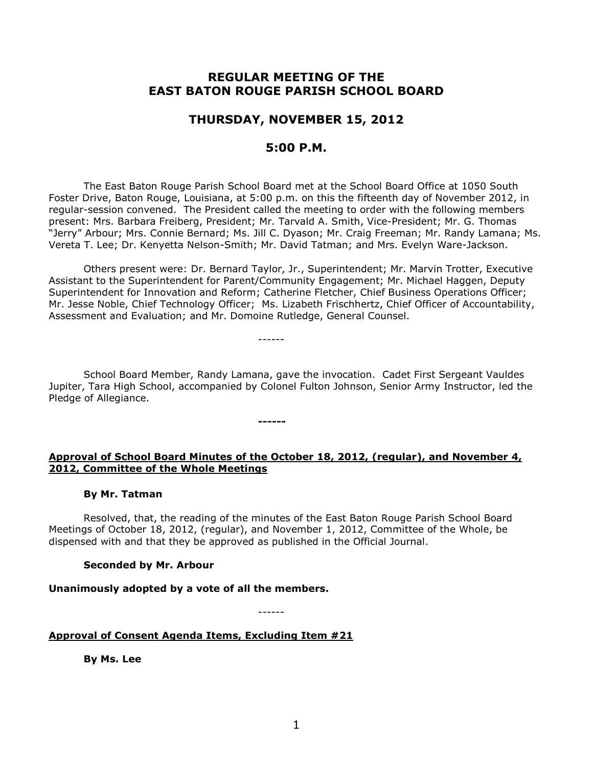# **REGULAR MEETING OF THE EAST BATON ROUGE PARISH SCHOOL BOARD**

# **THURSDAY, NOVEMBER 15, 2012**

# **5:00 P.M.**

The East Baton Rouge Parish School Board met at the School Board Office at 1050 South Foster Drive, Baton Rouge, Louisiana, at 5:00 p.m. on this the fifteenth day of November 2012, in regular-session convened. The President called the meeting to order with the following members present: Mrs. Barbara Freiberg, President; Mr. Tarvald A. Smith, Vice-President; Mr. G. Thomas "Jerry" Arbour; Mrs. Connie Bernard; Ms. Jill C. Dyason; Mr. Craig Freeman; Mr. Randy Lamana; Ms. Vereta T. Lee; Dr. Kenyetta Nelson-Smith; Mr. David Tatman; and Mrs. Evelyn Ware-Jackson.

Others present were: Dr. Bernard Taylor, Jr., Superintendent; Mr. Marvin Trotter, Executive Assistant to the Superintendent for Parent/Community Engagement; Mr. Michael Haggen, Deputy Superintendent for Innovation and Reform; Catherine Fletcher, Chief Business Operations Officer; Mr. Jesse Noble, Chief Technology Officer; Ms. Lizabeth Frischhertz, Chief Officer of Accountability, Assessment and Evaluation; and Mr. Domoine Rutledge, General Counsel.

School Board Member, Randy Lamana, gave the invocation. Cadet First Sergeant Vauldes Jupiter, Tara High School, accompanied by Colonel Fulton Johnson, Senior Army Instructor, led the Pledge of Allegiance.

------

**------**

## **Approval of School Board Minutes of the October 18, 2012, (regular), and November 4, 2012, Committee of the Whole Meetings**

#### **By Mr. Tatman**

Resolved, that, the reading of the minutes of the East Baton Rouge Parish School Board Meetings of October 18, 2012, (regular), and November 1, 2012, Committee of the Whole, be dispensed with and that they be approved as published in the Official Journal.

## **Seconded by Mr. Arbour**

## **Unanimously adopted by a vote of all the members.**

------

## **Approval of Consent Agenda Items, Excluding Item #21**

**By Ms. Lee**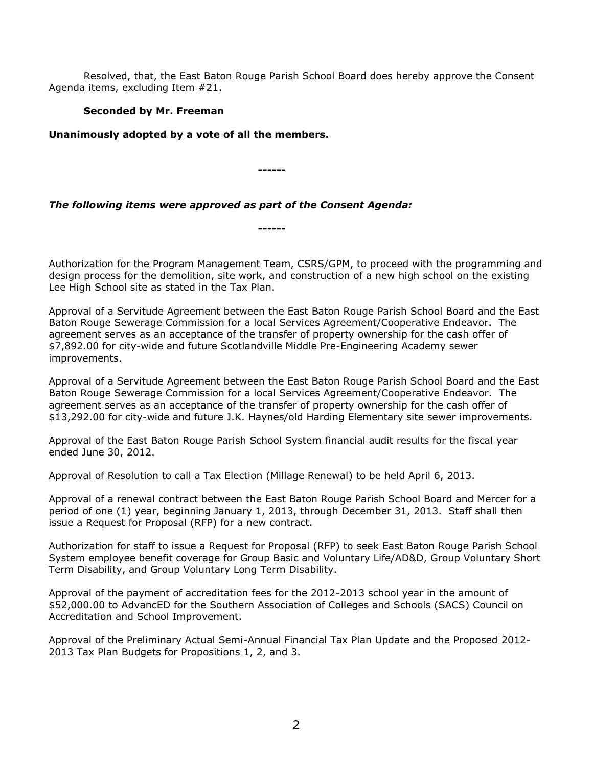Resolved, that, the East Baton Rouge Parish School Board does hereby approve the Consent Agenda items, excluding Item #21.

## **Seconded by Mr. Freeman**

**Unanimously adopted by a vote of all the members.**

**------**

**------**

*The following items were approved as part of the Consent Agenda:*

Authorization for the Program Management Team, CSRS/GPM, to proceed with the programming and design process for the demolition, site work, and construction of a new high school on the existing Lee High School site as stated in the Tax Plan.

Approval of a Servitude Agreement between the East Baton Rouge Parish School Board and the East Baton Rouge Sewerage Commission for a local Services Agreement/Cooperative Endeavor. The agreement serves as an acceptance of the transfer of property ownership for the cash offer of \$7,892.00 for city-wide and future Scotlandville Middle Pre-Engineering Academy sewer improvements.

Approval of a Servitude Agreement between the East Baton Rouge Parish School Board and the East Baton Rouge Sewerage Commission for a local Services Agreement/Cooperative Endeavor. The agreement serves as an acceptance of the transfer of property ownership for the cash offer of \$13,292.00 for city-wide and future J.K. Haynes/old Harding Elementary site sewer improvements.

Approval of the East Baton Rouge Parish School System financial audit results for the fiscal year ended June 30, 2012.

Approval of Resolution to call a Tax Election (Millage Renewal) to be held April 6, 2013.

Approval of a renewal contract between the East Baton Rouge Parish School Board and Mercer for a period of one (1) year, beginning January 1, 2013, through December 31, 2013. Staff shall then issue a Request for Proposal (RFP) for a new contract.

Authorization for staff to issue a Request for Proposal (RFP) to seek East Baton Rouge Parish School System employee benefit coverage for Group Basic and Voluntary Life/AD&D, Group Voluntary Short Term Disability, and Group Voluntary Long Term Disability.

Approval of the payment of accreditation fees for the 2012-2013 school year in the amount of \$52,000.00 to AdvancED for the Southern Association of Colleges and Schools (SACS) Council on Accreditation and School Improvement.

Approval of the Preliminary Actual Semi-Annual Financial Tax Plan Update and the Proposed 2012- 2013 Tax Plan Budgets for Propositions 1, 2, and 3.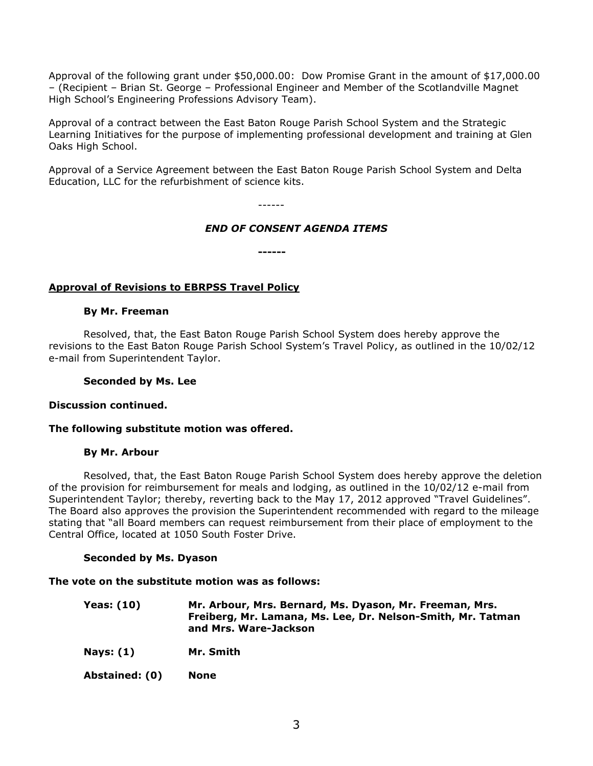Approval of the following grant under \$50,000.00: Dow Promise Grant in the amount of \$17,000.00 – (Recipient – Brian St. George – Professional Engineer and Member of the Scotlandville Magnet High School's Engineering Professions Advisory Team).

Approval of a contract between the East Baton Rouge Parish School System and the Strategic Learning Initiatives for the purpose of implementing professional development and training at Glen Oaks High School.

Approval of a Service Agreement between the East Baton Rouge Parish School System and Delta Education, LLC for the refurbishment of science kits.

------

## *END OF CONSENT AGENDA ITEMS*

**------**

# **Approval of Revisions to EBRPSS Travel Policy**

#### **By Mr. Freeman**

Resolved, that, the East Baton Rouge Parish School System does hereby approve the revisions to the East Baton Rouge Parish School System's Travel Policy, as outlined in the 10/02/12 e-mail from Superintendent Taylor.

### **Seconded by Ms. Lee**

## **Discussion continued.**

## **The following substitute motion was offered.**

## **By Mr. Arbour**

Resolved, that, the East Baton Rouge Parish School System does hereby approve the deletion of the provision for reimbursement for meals and lodging, as outlined in the 10/02/12 e-mail from Superintendent Taylor; thereby, reverting back to the May 17, 2012 approved "Travel Guidelines". The Board also approves the provision the Superintendent recommended with regard to the mileage stating that "all Board members can request reimbursement from their place of employment to the Central Office, located at 1050 South Foster Drive.

## **Seconded by Ms. Dyason**

#### **The vote on the substitute motion was as follows:**

| Yeas: (10) | Mr. Arbour, Mrs. Bernard, Ms. Dyason, Mr. Freeman, Mrs.     |
|------------|-------------------------------------------------------------|
|            | Freiberg, Mr. Lamana, Ms. Lee, Dr. Nelson-Smith, Mr. Tatman |
|            | and Mrs. Ware-Jackson                                       |

**Nays: (1) Mr. Smith**

**Abstained: (0) None**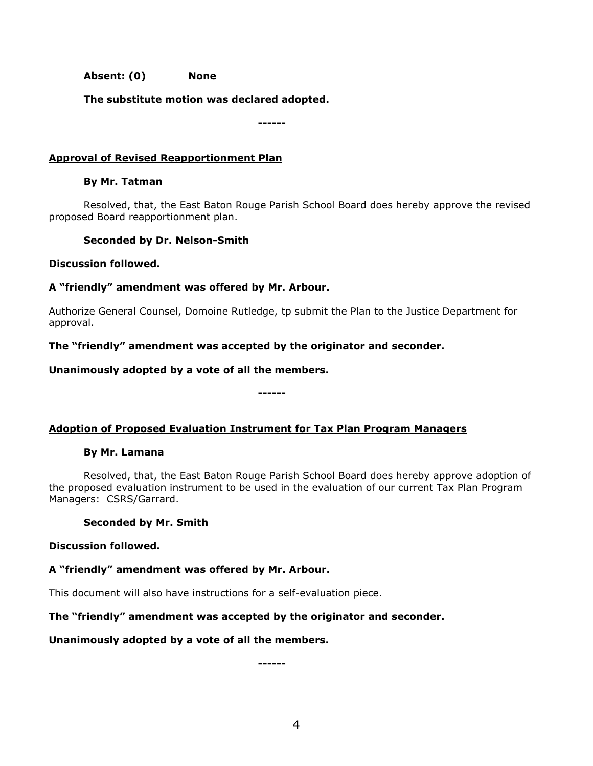**Absent: (0) None**

**The substitute motion was declared adopted.**

**------**

## **Approval of Revised Reapportionment Plan**

### **By Mr. Tatman**

Resolved, that, the East Baton Rouge Parish School Board does hereby approve the revised proposed Board reapportionment plan.

## **Seconded by Dr. Nelson-Smith**

#### **Discussion followed.**

## **A "friendly" amendment was offered by Mr. Arbour.**

Authorize General Counsel, Domoine Rutledge, tp submit the Plan to the Justice Department for approval.

## **The "friendly" amendment was accepted by the originator and seconder.**

## **Unanimously adopted by a vote of all the members.**

# **Adoption of Proposed Evaluation Instrument for Tax Plan Program Managers**

**------**

## **By Mr. Lamana**

Resolved, that, the East Baton Rouge Parish School Board does hereby approve adoption of the proposed evaluation instrument to be used in the evaluation of our current Tax Plan Program Managers: CSRS/Garrard.

## **Seconded by Mr. Smith**

## **Discussion followed.**

## **A "friendly" amendment was offered by Mr. Arbour.**

This document will also have instructions for a self-evaluation piece.

## **The "friendly" amendment was accepted by the originator and seconder.**

## **Unanimously adopted by a vote of all the members.**

**------**